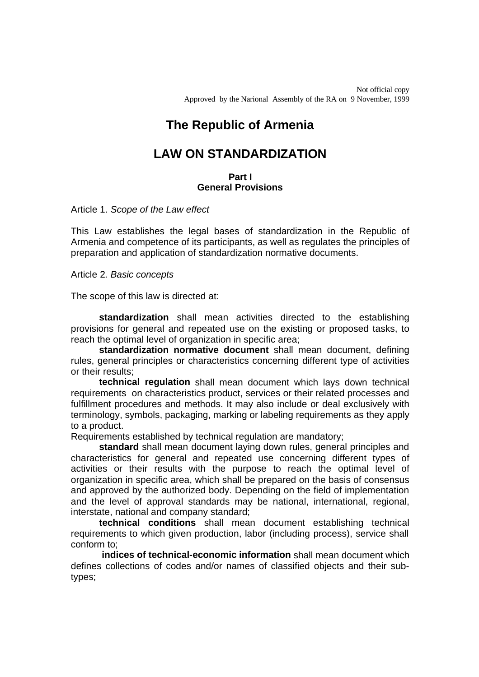Not official copy Approved by the Narional Assembly of the RA on 9 November, 1999

# **The Republic of Armenia**

## **LAW ON STANDARDIZATION**

### **Part I General Provisions**

Article 1. *Scope of the Law effect*

This Law establishes the legal bases of standardization in the Republic of Armenia and competence of its participants, as well as regulates the principles of preparation and application of standardization normative documents.

Article 2*. Basic concepts*

The scope of this law is directed at:

**standardization** shall mean activities directed to the establishing provisions for general and repeated use on the existing or proposed tasks, to reach the optimal level of organization in specific area;

**standardization normative document** shall mean document, defining rules, general principles or characteristics concerning different type of activities or their results;

**technical regulation** shall mean document which lays down technical requirements on characteristics product, services or their related processes and fulfillment procedures and methods. It may also include or deal exclusively with terminology, symbols, packaging, marking or labeling requirements as they apply to a product.

Requirements established by technical regulation are mandatory;

**standard** shall mean document laying down rules, general principles and characteristics for general and repeated use concerning different types of activities or their results with the purpose to reach the optimal level of organization in specific area, which shall be prepared on the basis of consensus and approved by the authorized body. Depending on the field of implementation and the level of approval standards may be national, international, regional, interstate, national and company standard;

**technical conditions** shall mean document establishing technical requirements to which given production, labor (including process), service shall conform to;

**indices of technical-economic information** shall mean document which defines collections of codes and/or names of classified objects and their subtypes;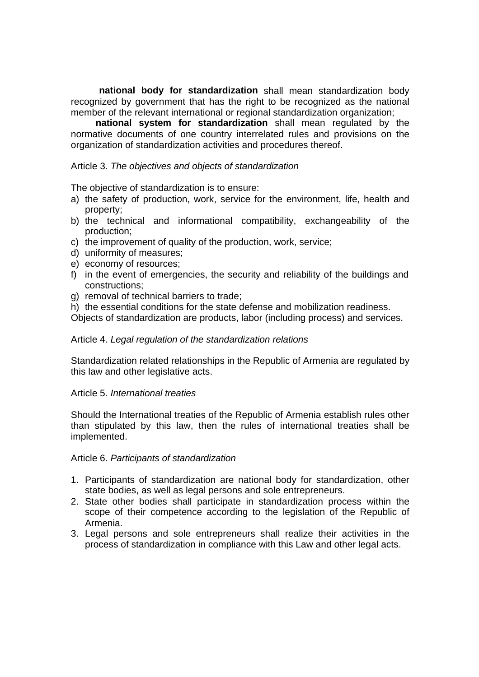**national body for standardization** shall mean standardization body recognized by government that has the right to be recognized as the national member of the relevant international or regional standardization organization:

**national system for standardization** shall mean regulated by the normative documents of one country interrelated rules and provisions on the organization of standardization activities and procedures thereof.

## Article 3. *The objectives and objects of standardization*

The objective of standardization is to ensure:

- a) the safety of production, work, service for the environment, life, health and property;
- b) the technical and informational compatibility, exchangeability of the production;
- c) the improvement of quality of the production, work, service;
- d) uniformity of measures;
- e) economy of resources;
- f) in the event of emergencies, the security and reliability of the buildings and constructions;
- g) removal of technical barriers to trade;
- h) the essential conditions for the state defense and mobilization readiness.

Objects of standardization are products, labor (including process) and services.

## Article 4. *Legal regulation of the standardization relations*

Standardization related relationships in the Republic of Armenia are regulated by this law and other legislative acts.

## Article 5. *International treaties*

Should the International treaties of the Republic of Armenia establish rules other than stipulated by this law, then the rules of international treaties shall be implemented.

Article 6. *Participants of standardization*

- 1. Participants of standardization are national body for standardization, other state bodies, as well as legal persons and sole entrepreneurs.
- 2. State other bodies shall participate in standardization process within the scope of their competence according to the legislation of the Republic of Armenia.
- 3. Legal persons and sole entrepreneurs shall realize their activities in the process of standardization in compliance with this Law and other legal acts.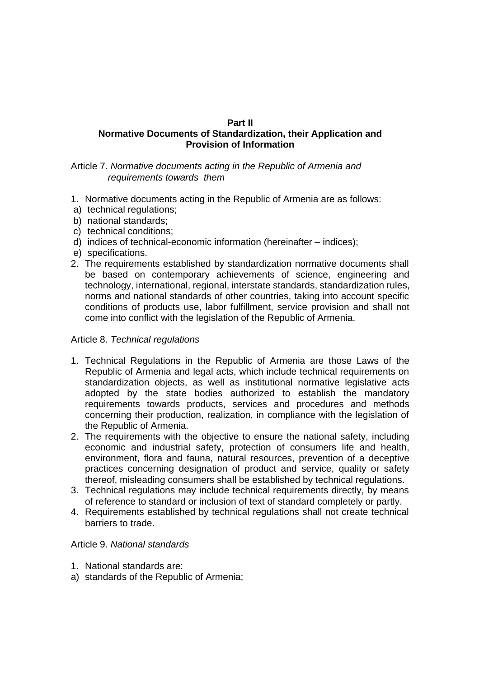## **Part II**

## **Normative Documents of Standardization, their Application and Provision of Information**

Article 7. *Normative documents acting in the Republic of Armenia and requirements towards them*

- 1. Normative documents acting in the Republic of Armenia are as follows:
- a) technical regulations;
- b) national standards;
- c) technical conditions;
- d) indices of technical-economic information (hereinafter indices);
- e) specifications.
- 2. The requirements established by standardization normative documents shall be based on contemporary achievements of science, engineering and technology, international, regional, interstate standards, standardization rules, norms and national standards of other countries, taking into account specific conditions of products use, labor fulfillment, service provision and shall not come into conflict with the legislation of the Republic of Armenia.

## Article 8. *Technical regulations*

- 1. Technical Regulations in the Republic of Armenia are those Laws of the Republic of Armenia and legal acts, which include technical requirements on standardization objects, as well as institutional normative legislative acts adopted by the state bodies authorized to establish the mandatory requirements towards products, services and procedures and methods concerning their production, realization, in compliance with the legislation of the Republic of Armenia.
- 2. The requirements with the objective to ensure the national safety, including economic and industrial safety, protection of consumers life and health, environment, flora and fauna, natural resources, prevention of a deceptive practices concerning designation of product and service, quality or safety thereof, misleading consumers shall be established by technical regulations.
- 3. Technical regulations may include technical requirements directly, by means of reference to standard or inclusion of text of standard completely or partly.
- 4. Requirements established by technical regulations shall not create technical barriers to trade.

## Article 9. *National standards*

- 1. National standards are:
- a) standards of the Republic of Armenia;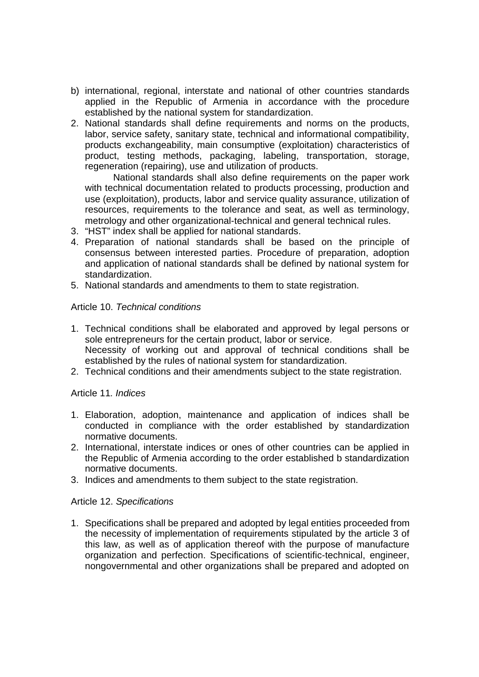- b) international, regional, interstate and national of other countries standards applied in the Republic of Armenia in accordance with the procedure established by the national system for standardization.
- 2. National standards shall define requirements and norms on the products, labor, service safety, sanitary state, technical and informational compatibility, products exchangeability, main consumptive (exploitation) characteristics of product, testing methods, packaging, labeling, transportation, storage, regeneration (repairing), use and utilization of products.

National standards shall also define requirements on the paper work with technical documentation related to products processing, production and use (exploitation), products, labor and service quality assurance, utilization of resources, requirements to the tolerance and seat, as well as terminology, metrology and other organizational-technical and general technical rules.

- 3. "HST" index shall be applied for national standards.
- 4. Preparation of national standards shall be based on the principle of consensus between interested parties. Procedure of preparation, adoption and application of national standards shall be defined by national system for standardization.
- 5. National standards and amendments to them to state registration.

## Article 10. *Technical conditions*

- 1. Technical conditions shall be elaborated and approved by legal persons or sole entrepreneurs for the certain product, labor or service. Necessity of working out and approval of technical conditions shall be established by the rules of national system for standardization.
- 2. Technical conditions and their amendments subject to the state registration.

## Article 11*. Indices*

- 1. Elaboration, adoption, maintenance and application of indices shall be conducted in compliance with the order established by standardization normative documents.
- 2. International, interstate indices or ones of other countries can be applied in the Republic of Armenia according to the order established b standardization normative documents.
- 3. Indices and amendments to them subject to the state registration.

## Article 12. *Specifications*

1. Specifications shall be prepared and adopted by legal entities proceeded from the necessity of implementation of requirements stipulated by the article 3 of this law, as well as of application thereof with the purpose of manufacture organization and perfection. Specifications of scientific-technical, engineer, nongovernmental and other organizations shall be prepared and adopted on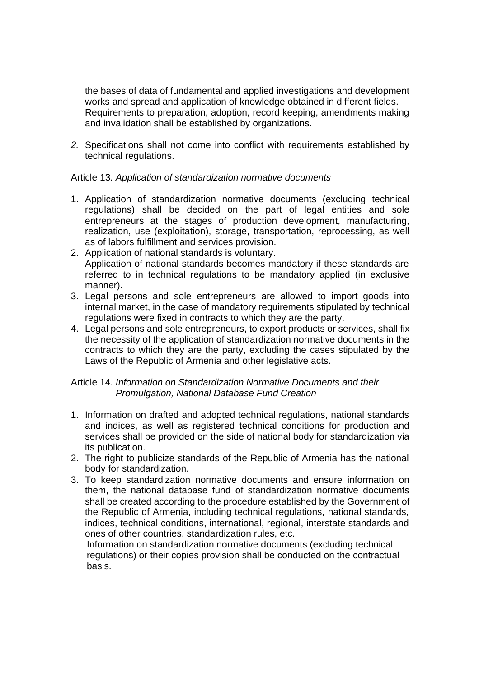the bases of data of fundamental and applied investigations and development works and spread and application of knowledge obtained in different fields. Requirements to preparation, adoption, record keeping, amendments making and invalidation shall be established by organizations.

*2.* Specifications shall not come into conflict with requirements established by technical regulations.

## Article 13*. Application of standardization normative documents*

- 1. Application of standardization normative documents (excluding technical regulations) shall be decided on the part of legal entities and sole entrepreneurs at the stages of production development, manufacturing, realization, use (exploitation), storage, transportation, reprocessing, as well as of labors fulfillment and services provision.
- 2. Application of national standards is voluntary. Application of national standards becomes mandatory if these standards are referred to in technical regulations to be mandatory applied (in exclusive manner).
- 3. Legal persons and sole entrepreneurs are allowed to import goods into internal market, in the case of mandatory requirements stipulated by technical regulations were fixed in contracts to which they are the party.
- 4. Legal persons and sole entrepreneurs, to export products or services, shall fix the necessity of the application of standardization normative documents in the contracts to which they are the party, excluding the cases stipulated by the Laws of the Republic of Armenia and other legislative acts.

## Article 14*. Information on Standardization Normative Documents and their Promulgation, National Database Fund Creation*

- 1. Information on drafted and adopted technical regulations, national standards and indices, as well as registered technical conditions for production and services shall be provided on the side of national body for standardization via its publication.
- 2. The right to publicize standards of the Republic of Armenia has the national body for standardization.
- 3. To keep standardization normative documents and ensure information on them, the national database fund of standardization normative documents shall be created according to the procedure established by the Government of the Republic of Armenia, including technical regulations, national standards, indices, technical conditions, international, regional, interstate standards and ones of other countries, standardization rules, etc.

 Information on standardization normative documents (excluding technical regulations) or their copies provision shall be conducted on the contractual basis.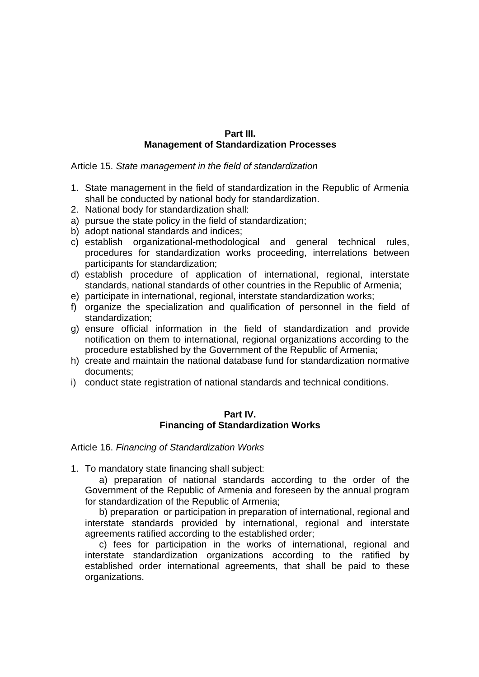## **Part III. Management of Standardization Processes**

Article 15. *State management in the field of standardization*

- 1. State management in the field of standardization in the Republic of Armenia shall be conducted by national body for standardization.
- 2. National body for standardization shall:
- a) pursue the state policy in the field of standardization;
- b) adopt national standards and indices;
- c) establish organizational-methodological and general technical rules, procedures for standardization works proceeding, interrelations between participants for standardization;
- d) establish procedure of application of international, regional, interstate standards, national standards of other countries in the Republic of Armenia;
- e) participate in international, regional, interstate standardization works;
- f) organize the specialization and qualification of personnel in the field of standardization;
- g) ensure official information in the field of standardization and provide notification on them to international, regional organizations according to the procedure established by the Government of the Republic of Armenia;
- h) create and maintain the national database fund for standardization normative documents;
- i) conduct state registration of national standards and technical conditions.

#### **Part IV. Financing of Standardization Works**

Article 16. *Financing of Standardization Works*

1. To mandatory state financing shall subject:

a) preparation of national standards according to the order of the Government of the Republic of Armenia and foreseen by the annual program for standardization of the Republic of Armenia;

b) preparation or participation in preparation of international, regional and interstate standards provided by international, regional and interstate agreements ratified according to the established order;

c) fees for participation in the works of international, regional and interstate standardization organizations according to the ratified by established order international agreements, that shall be paid to these organizations.